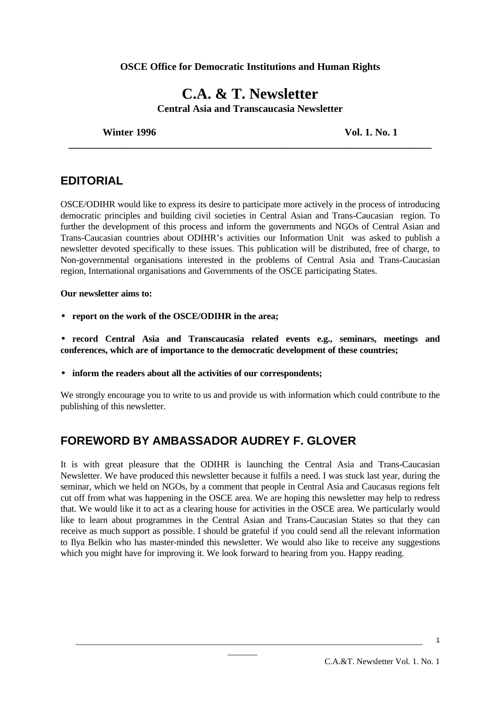#### **OSCE Office for Democratic Institutions and Human Rights**

# **C.A. & T. Newsletter Central Asia and Transcaucasia Newsletter**

**\_\_\_\_\_\_\_\_\_\_\_\_\_\_\_\_\_\_\_\_\_\_\_\_\_\_\_\_\_\_\_\_\_\_\_\_\_\_\_\_\_\_\_\_\_\_\_\_\_\_\_\_\_\_\_\_\_\_\_\_\_\_\_\_\_\_\_\_\_\_\_\_**

**Winter 1996 Vol. 1. No. 1**

# **EDITORIAL**

OSCE/ODIHR would like to express its desire to participate more actively in the process of introducing democratic principles and building civil societies in Central Asian and Trans-Caucasian region. To further the development of this process and inform the governments and NGOs of Central Asian and Trans-Caucasian countries about ODIHR's activities our Information Unit was asked to publish a newsletter devoted specifically to these issues. This publication will be distributed, free of charge, to Non-governmental organisations interested in the problems of Central Asia and Trans-Caucasian region, International organisations and Governments of the OSCE participating States.

#### **Our newsletter aims to:**

- **report on the work of the OSCE/ODIHR in the area;**
- **record Central Asia and Transcaucasia related events e.g., seminars, meetings and conferences, which are of importance to the democratic development of these countries;**
- **inform the readers about all the activities of our correspondents;**

We strongly encourage you to write to us and provide us with information which could contribute to the publishing of this newsletter.

# **FOREWORD BY AMBASSADOR AUDREY F. GLOVER**

It is with great pleasure that the ODIHR is launching the Central Asia and Trans-Caucasian Newsletter. We have produced this newsletter because it fulfils a need. I was stuck last year, during the seminar, which we held on NGOs, by a comment that people in Central Asia and Caucasus regions felt cut off from what was happening in the OSCE area. We are hoping this newsletter may help to redress that. We would like it to act as a clearing house for activities in the OSCE area. We particularly would like to learn about programmes in the Central Asian and Trans-Caucasian States so that they can receive as much support as possible. I should be grateful if you could send all the relevant information to Ilya Belkin who has master-minded this newsletter. We would also like to receive any suggestions which you might have for improving it. We look forward to hearing from you. Happy reading.

\_\_\_\_\_\_\_\_\_\_\_\_\_\_\_\_\_\_\_\_\_\_\_\_\_\_\_\_\_\_\_\_\_\_\_\_\_\_\_\_\_\_\_\_\_\_\_\_\_\_\_\_\_\_\_\_\_\_\_\_\_\_\_\_\_\_\_\_\_\_\_\_\_\_\_\_\_\_\_\_\_\_  $\overline{\phantom{a}}$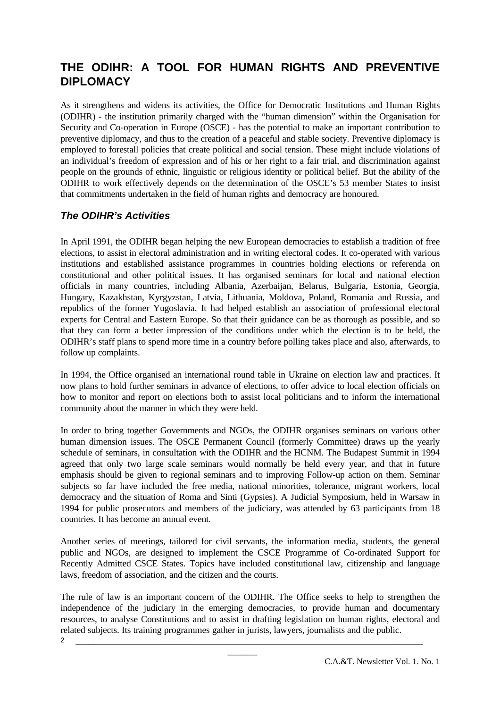# **THE ODIHR: A TOOL FOR HUMAN RIGHTS AND PREVENTIVE DIPLOMACY**

As it strengthens and widens its activities, the Office for Democratic Institutions and Human Rights (ODIHR) - the institution primarily charged with the "human dimension" within the Organisation for Security and Co-operation in Europe (OSCE) - has the potential to make an important contribution to preventive diplomacy, and thus to the creation of a peaceful and stable society. Preventive diplomacy is employed to forestall policies that create political and social tension. These might include violations of an individual's freedom of expression and of his or her right to a fair trial, and discrimination against people on the grounds of ethnic, linguistic or religious identity or political belief. But the ability of the ODIHR to work effectively depends on the determination of the OSCE's 53 member States to insist that commitments undertaken in the field of human rights and democracy are honoured.

# *The ODIHR's Activities*

In April 1991, the ODIHR began helping the new European democracies to establish a tradition of free elections, to assist in electoral administration and in writing electoral codes. It co-operated with various institutions and established assistance programmes in countries holding elections or referenda on constitutional and other political issues. It has organised seminars for local and national election officials in many countries, including Albania, Azerbaijan, Belarus, Bulgaria, Estonia, Georgia, Hungary, Kazakhstan, Kyrgyzstan, Latvia, Lithuania, Moldova, Poland, Romania and Russia, and republics of the former Yugoslavia. It had helped establish an association of professional electoral experts for Central and Eastern Europe. So that their guidance can be as thorough as possible, and so that they can form a better impression of the conditions under which the election is to be held, the ODIHR's staff plans to spend more time in a country before polling takes place and also, afterwards, to follow up complaints.

In 1994, the Office organised an international round table in Ukraine on election law and practices. It now plans to hold further seminars in advance of elections, to offer advice to local election officials on how to monitor and report on elections both to assist local politicians and to inform the international community about the manner in which they were held.

In order to bring together Governments and NGOs, the ODIHR organises seminars on various other human dimension issues. The OSCE Permanent Council (formerly Committee) draws up the yearly schedule of seminars, in consultation with the ODIHR and the HCNM. The Budapest Summit in 1994 agreed that only two large scale seminars would normally be held every year, and that in future emphasis should be given to regional seminars and to improving Follow-up action on them. Seminar subjects so far have included the free media, national minorities, tolerance, migrant workers, local democracy and the situation of Roma and Sinti (Gypsies). A Judicial Symposium, held in Warsaw in 1994 for public prosecutors and members of the judiciary, was attended by 63 participants from 18 countries. It has become an annual event.

Another series of meetings, tailored for civil servants, the information media, students, the general public and NGOs, are designed to implement the CSCE Programme of Co-ordinated Support for Recently Admitted CSCE States. Topics have included constitutional law, citizenship and language laws, freedom of association, and the citizen and the courts.

\_\_\_\_\_\_\_\_\_\_\_\_\_\_\_\_\_\_\_\_\_\_\_\_\_\_\_\_\_\_\_\_\_\_\_\_\_\_\_\_\_\_\_\_\_\_\_\_\_\_\_\_\_\_\_\_\_\_\_\_\_\_\_\_\_\_\_\_\_\_\_\_\_\_\_\_\_\_\_\_\_\_ 2 The rule of law is an important concern of the ODIHR. The Office seeks to help to strengthen the independence of the judiciary in the emerging democracies, to provide human and documentary resources, to analyse Constitutions and to assist in drafting legislation on human rights, electoral and related subjects. Its training programmes gather in jurists, lawyers, journalists and the public.

 $\overline{\phantom{a}}$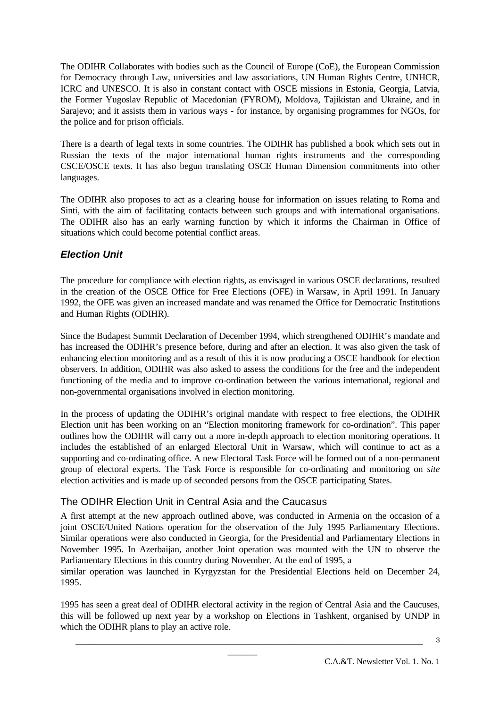The ODIHR Collaborates with bodies such as the Council of Europe (CoE), the European Commission for Democracy through Law, universities and law associations, UN Human Rights Centre, UNHCR, ICRC and UNESCO. It is also in constant contact with OSCE missions in Estonia, Georgia, Latvia, the Former Yugoslav Republic of Macedonian (FYROM), Moldova, Tajikistan and Ukraine, and in Sarajevo; and it assists them in various ways - for instance, by organising programmes for NGOs, for the police and for prison officials.

There is a dearth of legal texts in some countries. The ODIHR has published a book which sets out in Russian the texts of the major international human rights instruments and the corresponding CSCE/OSCE texts. It has also begun translating OSCE Human Dimension commitments into other languages.

The ODIHR also proposes to act as a clearing house for information on issues relating to Roma and Sinti, with the aim of facilitating contacts between such groups and with international organisations. The ODIHR also has an early warning function by which it informs the Chairman in Office of situations which could become potential conflict areas.

# *Election Unit*

The procedure for compliance with election rights, as envisaged in various OSCE declarations, resulted in the creation of the OSCE Office for Free Elections (OFE) in Warsaw, in April 1991. In January 1992, the OFE was given an increased mandate and was renamed the Office for Democratic Institutions and Human Rights (ODIHR).

Since the Budapest Summit Declaration of December 1994, which strengthened ODIHR's mandate and has increased the ODIHR's presence before, during and after an election. It was also given the task of enhancing election monitoring and as a result of this it is now producing a OSCE handbook for election observers. In addition, ODIHR was also asked to assess the conditions for the free and the independent functioning of the media and to improve co-ordination between the various international, regional and non-governmental organisations involved in election monitoring.

In the process of updating the ODIHR's original mandate with respect to free elections, the ODIHR Election unit has been working on an "Election monitoring framework for co-ordination". This paper outlines how the ODIHR will carry out a more in-depth approach to election monitoring operations. It includes the established of an enlarged Electoral Unit in Warsaw, which will continue to act as a supporting and co-ordinating office. A new Electoral Task Force will be formed out of a non-permanent group of electoral experts. The Task Force is responsible for co-ordinating and monitoring on *site* election activities and is made up of seconded persons from the OSCE participating States.

# The ODIHR Election Unit in Central Asia and the Caucasus

A first attempt at the new approach outlined above, was conducted in Armenia on the occasion of a joint OSCE/United Nations operation for the observation of the July 1995 Parliamentary Elections. Similar operations were also conducted in Georgia, for the Presidential and Parliamentary Elections in November 1995. In Azerbaijan, another Joint operation was mounted with the UN to observe the Parliamentary Elections in this country during November. At the end of 1995, a

similar operation was launched in Kyrgyzstan for the Presidential Elections held on December 24, 1995.

1995 has seen a great deal of ODIHR electoral activity in the region of Central Asia and the Caucuses, this will be followed up next year by a workshop on Elections in Tashkent, organised by UNDP in which the ODIHR plans to play an active role.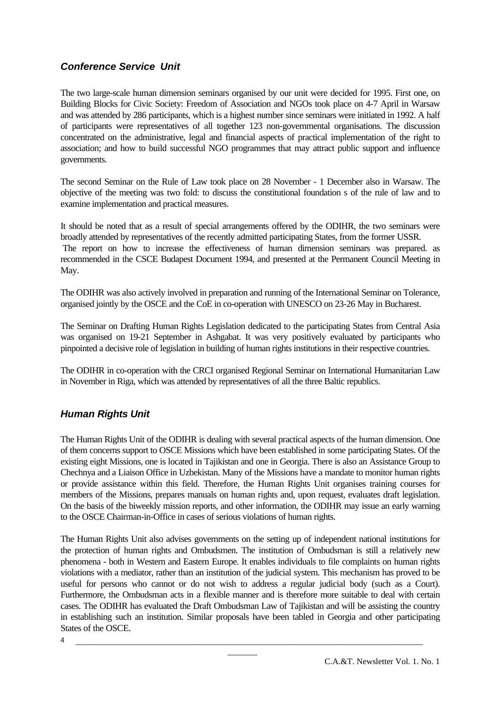# *Conference Service Unit*

The two large-scale human dimension seminars organised by our unit were decided for 1995. First one, on Building Blocks for Civic Society: Freedom of Association and NGOs took place on 4-7 April in Warsaw and was attended by 286 participants, which is a highest number since seminars were initiated in 1992. A half of participants were representatives of all together 123 non-governmental organisations. The discussion concentrated on the administrative, legal and financial aspects of practical implementation of the right to association; and how to build successful NGO programmes that may attract public support and influence governments.

The second Seminar on the Rule of Law took place on 28 November - 1 December also in Warsaw. The objective of the meeting was two fold: to discuss the constitutional foundation s of the rule of law and to examine implementation and practical measures.

It should be noted that as a result of special arrangements offered by the ODIHR, the two seminars were broadly attended by representatives of the recently admitted participating States, from the former USSR. The report on how to increase the effectiveness of human dimension seminars was prepared. as recommended in the CSCE Budapest Document 1994, and presented at the Permanent Council Meeting in May.

The ODIHR was also actively involved in preparation and running of the International Seminar on Tolerance, organised jointly by the OSCE and the CoE in co-operation with UNESCO on 23-26 May in Bucharest.

The Seminar on Drafting Human Rights Legislation dedicated to the participating States from Central Asia was organised on 19-21 September in Ashgabat. It was very positively evaluated by participants who pinpointed a decisive role of legislation in building of human rights institutions in their respective countries.

The ODIHR in co-operation with the CRCI organised Regional Seminar on International Humanitarian Law in November in Riga, which was attended by representatives of all the three Baltic republics.

# *Human Rights Unit*

The Human Rights Unit of the ODIHR is dealing with several practical aspects of the human dimension. One of them concerns support to OSCE Missions which have been established in some participating States. Of the existing eight Missions, one is located in Tajikistan and one in Georgia. There is also an Assistance Group to Chechnya and a Liaison Office in Uzbekistan. Many of the Missions have a mandate to monitor human rights or provide assistance within this field. Therefore, the Human Rights Unit organises training courses for members of the Missions, prepares manuals on human rights and, upon request, evaluates draft legislation. On the basis of the biweekly mission reports, and other information, the ODIHR may issue an early warning to the OSCE Chairman-in-Office in cases of serious violations of human rights.

The Human Rights Unit also advises governments on the setting up of independent national institutions for the protection of human rights and Ombudsmen. The institution of Ombudsman is still a relatively new phenomena - both in Western and Eastern Europe. It enables individuals to file complaints on human rights violations with a mediator, rather than an institution of the judicial system. This mechanism has proved to be useful for persons who cannot or do not wish to address a regular judicial body (such as a Court). Furthermore, the Ombudsman acts in a flexible manner and is therefore more suitable to deal with certain cases. The ODIHR has evaluated the Draft Ombudsman Law of Tajikistan and will be assisting the country in establishing such an institution. Similar proposals have been tabled in Georgia and other participating States of the OSCE.

\_\_\_\_\_\_\_\_\_\_\_\_\_\_\_\_\_\_\_\_\_\_\_\_\_\_\_\_\_\_\_\_\_\_\_\_\_\_\_\_\_\_\_\_\_\_\_\_\_\_\_\_\_\_\_\_\_\_\_\_\_\_\_\_\_\_\_\_\_\_\_\_\_\_\_\_\_\_\_\_\_\_  $\overline{\phantom{a}}$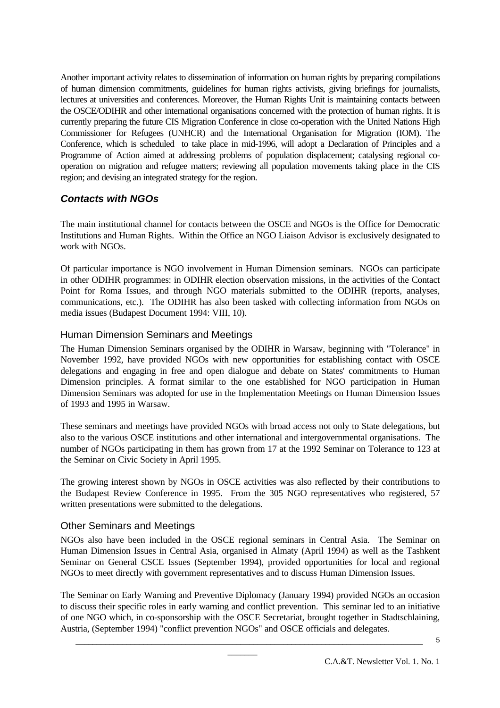Another important activity relates to dissemination of information on human rights by preparing compilations of human dimension commitments, guidelines for human rights activists, giving briefings for journalists, lectures at universities and conferences. Moreover, the Human Rights Unit is maintaining contacts between the OSCE/ODIHR and other international organisations concerned with the protection of human rights. It is currently preparing the future CIS Migration Conference in close co-operation with the United Nations High Commissioner for Refugees (UNHCR) and the International Organisation for Migration (IOM). The Conference, which is scheduled to take place in mid-1996, will adopt a Declaration of Principles and a Programme of Action aimed at addressing problems of population displacement; catalysing regional cooperation on migration and refugee matters; reviewing all population movements taking place in the CIS region; and devising an integrated strategy for the region.

# *Contacts with NGOs*

The main institutional channel for contacts between the OSCE and NGOs is the Office for Democratic Institutions and Human Rights. Within the Office an NGO Liaison Advisor is exclusively designated to work with NGOs.

Of particular importance is NGO involvement in Human Dimension seminars. NGOs can participate in other ODIHR programmes: in ODIHR election observation missions, in the activities of the Contact Point for Roma Issues, and through NGO materials submitted to the ODIHR (reports, analyses, communications, etc.). The ODIHR has also been tasked with collecting information from NGOs on media issues (Budapest Document 1994: VIII, 10).

#### Human Dimension Seminars and Meetings

The Human Dimension Seminars organised by the ODIHR in Warsaw, beginning with "Tolerance" in November 1992, have provided NGOs with new opportunities for establishing contact with OSCE delegations and engaging in free and open dialogue and debate on States' commitments to Human Dimension principles. A format similar to the one established for NGO participation in Human Dimension Seminars was adopted for use in the Implementation Meetings on Human Dimension Issues of 1993 and 1995 in Warsaw.

These seminars and meetings have provided NGOs with broad access not only to State delegations, but also to the various OSCE institutions and other international and intergovernmental organisations. The number of NGOs participating in them has grown from 17 at the 1992 Seminar on Tolerance to 123 at the Seminar on Civic Society in April 1995.

The growing interest shown by NGOs in OSCE activities was also reflected by their contributions to the Budapest Review Conference in 1995. From the 305 NGO representatives who registered, 57 written presentations were submitted to the delegations.

# Other Seminars and Meetings

NGOs also have been included in the OSCE regional seminars in Central Asia. The Seminar on Human Dimension Issues in Central Asia, organised in Almaty (April 1994) as well as the Tashkent Seminar on General CSCE Issues (September 1994), provided opportunities for local and regional NGOs to meet directly with government representatives and to discuss Human Dimension Issues.

The Seminar on Early Warning and Preventive Diplomacy (January 1994) provided NGOs an occasion to discuss their specific roles in early warning and conflict prevention. This seminar led to an initiative of one NGO which, in co-sponsorship with the OSCE Secretariat, brought together in Stadtschlaining, Austria, (September 1994) "conflict prevention NGOs" and OSCE officials and delegates.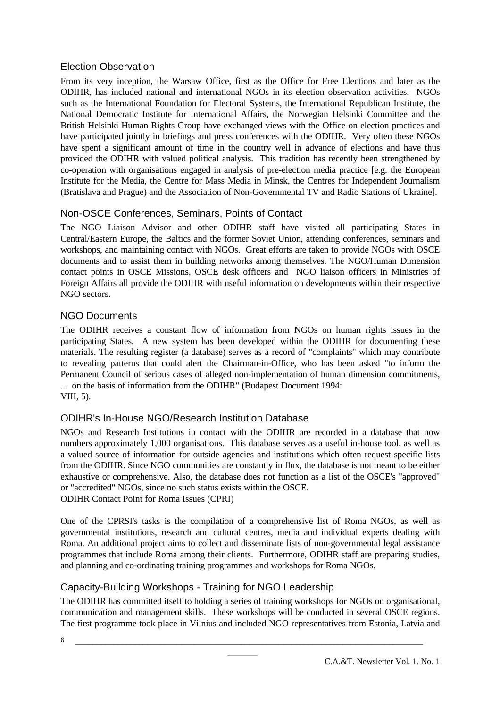#### Election Observation

From its very inception, the Warsaw Office, first as the Office for Free Elections and later as the ODIHR, has included national and international NGOs in its election observation activities. NGOs such as the International Foundation for Electoral Systems, the International Republican Institute, the National Democratic Institute for International Affairs, the Norwegian Helsinki Committee and the British Helsinki Human Rights Group have exchanged views with the Office on election practices and have participated jointly in briefings and press conferences with the ODIHR. Very often these NGOs have spent a significant amount of time in the country well in advance of elections and have thus provided the ODIHR with valued political analysis. This tradition has recently been strengthened by co-operation with organisations engaged in analysis of pre-election media practice [e.g. the European Institute for the Media, the Centre for Mass Media in Minsk, the Centres for Independent Journalism (Bratislava and Prague) and the Association of Non-Governmental TV and Radio Stations of Ukraine].

# Non-OSCE Conferences, Seminars, Points of Contact

The NGO Liaison Advisor and other ODIHR staff have visited all participating States in Central/Eastern Europe, the Baltics and the former Soviet Union, attending conferences, seminars and workshops, and maintaining contact with NGOs. Great efforts are taken to provide NGOs with OSCE documents and to assist them in building networks among themselves. The NGO/Human Dimension contact points in OSCE Missions, OSCE desk officers and NGO liaison officers in Ministries of Foreign Affairs all provide the ODIHR with useful information on developments within their respective NGO sectors.

# NGO Documents

The ODIHR receives a constant flow of information from NGOs on human rights issues in the participating States. A new system has been developed within the ODIHR for documenting these materials. The resulting register (a database) serves as a record of "complaints" which may contribute to revealing patterns that could alert the Chairman-in-Office, who has been asked "to inform the Permanent Council of serious cases of alleged non-implementation of human dimension commitments, ... on the basis of information from the ODIHR" (Budapest Document 1994: VIII, 5).

# ODIHR's In-House NGO/Research Institution Database

NGOs and Research Institutions in contact with the ODIHR are recorded in a database that now numbers approximately 1,000 organisations. This database serves as a useful in-house tool, as well as a valued source of information for outside agencies and institutions which often request specific lists from the ODIHR. Since NGO communities are constantly in flux, the database is not meant to be either exhaustive or comprehensive. Also, the database does not function as a list of the OSCE's "approved" or "accredited" NGOs, since no such status exists within the OSCE. ODIHR Contact Point for Roma Issues (CPRI)

One of the CPRSI's tasks is the compilation of a comprehensive list of Roma NGOs, as well as governmental institutions, research and cultural centres, media and individual experts dealing with Roma. An additional project aims to collect and disseminate lists of non-governmental legal assistance programmes that include Roma among their clients. Furthermore, ODIHR staff are preparing studies, and planning and co-ordinating training programmes and workshops for Roma NGOs.

# Capacity-Building Workshops - Training for NGO Leadership

The ODIHR has committed itself to holding a series of training workshops for NGOs on organisational, communication and management skills. These workshops will be conducted in several OSCE regions. The first programme took place in Vilnius and included NGO representatives from Estonia, Latvia and

\_\_\_\_\_\_\_\_\_\_\_\_\_\_\_\_\_\_\_\_\_\_\_\_\_\_\_\_\_\_\_\_\_\_\_\_\_\_\_\_\_\_\_\_\_\_\_\_\_\_\_\_\_\_\_\_\_\_\_\_\_\_\_\_\_\_\_\_\_\_\_\_\_\_\_\_\_\_\_\_\_\_  $\overline{\phantom{a}}$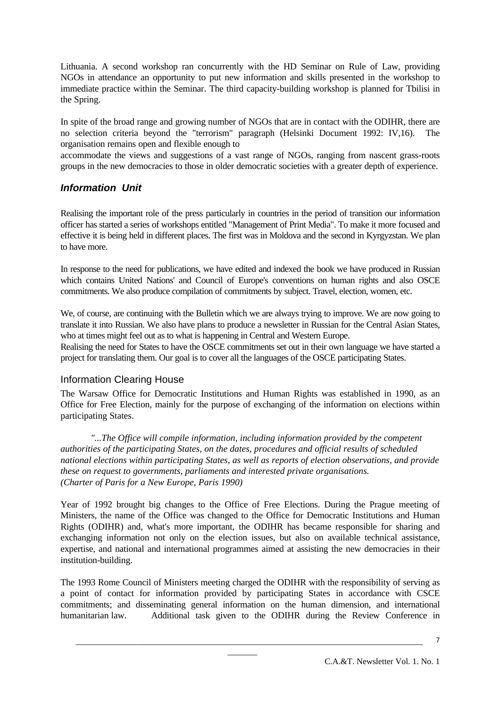Lithuania. A second workshop ran concurrently with the HD Seminar on Rule of Law, providing NGOs in attendance an opportunity to put new information and skills presented in the workshop to immediate practice within the Seminar. The third capacity-building workshop is planned for Tbilisi in the Spring.

In spite of the broad range and growing number of NGOs that are in contact with the ODIHR, there are no selection criteria beyond the "terrorism" paragraph (Helsinki Document 1992: IV,16). The organisation remains open and flexible enough to

accommodate the views and suggestions of a vast range of NGOs, ranging from nascent grass-roots groups in the new democracies to those in older democratic societies with a greater depth of experience.

# *Information Unit*

Realising the important role of the press particularly in countries in the period of transition our information officer has started a series of workshops entitled "Management of Print Media". To make it more focused and effective it is being held in different places. The first was in Moldova and the second in Kyrgyzstan. We plan to have more.

In response to the need for publications, we have edited and indexed the book we have produced in Russian which contains United Nations' and Council of Europe's conventions on human rights and also OSCE commitments. We also produce compilation of commitments by subject. Travel, election, women, etc.

We, of course, are continuing with the Bulletin which we are always trying to improve. We are now going to translate it into Russian. We also have plans to produce a newsletter in Russian for the Central Asian States, who at times might feel out as to what is happening in Central and Western Europe.

Realising the need for States to have the OSCE commitments set out in their own language we have started a project for translating them. Our goal is to cover all the languages of the OSCE participating States.

#### Information Clearing House

The Warsaw Office for Democratic Institutions and Human Rights was established in 1990, as an Office for Free Election, mainly for the purpose of exchanging of the information on elections within participating States.

*"...The Office will compile information, including information provided by the competent authorities of the participating States, on the dates, procedures and official results of scheduled national elections within participating States, as well as reports of election observations, and provide these on request to governments, parliaments and interested private organisations. (Charter of Paris for a New Europe, Paris 1990)*

Year of 1992 brought big changes to the Office of Free Elections. During the Prague meeting of Ministers, the name of the Office was changed to the Office for Democratic Institutions and Human Rights (ODIHR) and, what's more important, the ODIHR has became responsible for sharing and exchanging information not only on the election issues, but also on available technical assistance, expertise, and national and international programmes aimed at assisting the new democracies in their institution-building.

The 1993 Rome Council of Ministers meeting charged the ODIHR with the responsibility of serving as a point of contact for information provided by participating States in accordance with CSCE commitments; and disseminating general information on the human dimension, and international humanitarian law. Additional task given to the ODIHR during the Review Conference in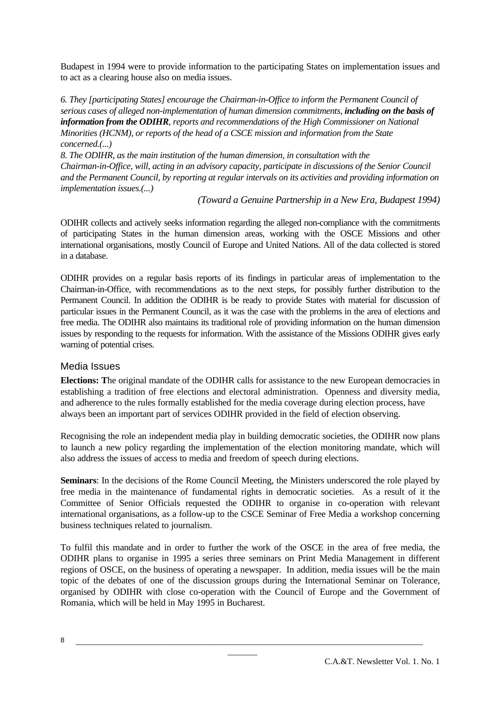Budapest in 1994 were to provide information to the participating States on implementation issues and to act as a clearing house also on media issues.

*6. They [participating States] encourage the Chairman-in-Office to inform the Permanent Council of serious cases of alleged non-implementation of human dimension commitments, including on the basis of information from the ODIHR, reports and recommendations of the High Commissioner on National Minorities (HCNM), or reports of the head of a CSCE mission and information from the State concerned.(...)*

*8. The ODIHR, as the main institution of the human dimension, in consultation with the Chairman-in-Office, will, acting in an advisory capacity, participate in discussions of the Senior Council and the Permanent Council, by reporting at regular intervals on its activities and providing information on implementation issues.(...)*

 *(Toward a Genuine Partnership in a New Era, Budapest 1994)*

ODIHR collects and actively seeks information regarding the alleged non-compliance with the commitments of participating States in the human dimension areas, working with the OSCE Missions and other international organisations, mostly Council of Europe and United Nations. All of the data collected is stored in a database.

ODIHR provides on a regular basis reports of its findings in particular areas of implementation to the Chairman-in-Office, with recommendations as to the next steps, for possibly further distribution to the Permanent Council. In addition the ODIHR is be ready to provide States with material for discussion of particular issues in the Permanent Council, as it was the case with the problems in the area of elections and free media. The ODIHR also maintains its traditional role of providing information on the human dimension issues by responding to the requests for information. With the assistance of the Missions ODIHR gives early warning of potential crises.

#### Media Issues

**Elections: T**he original mandate of the ODIHR calls for assistance to the new European democracies in establishing a tradition of free elections and electoral administration. Openness and diversity media, and adherence to the rules formally established for the media coverage during election process, have always been an important part of services ODIHR provided in the field of election observing.

Recognising the role an independent media play in building democratic societies, the ODIHR now plans to launch a new policy regarding the implementation of the election monitoring mandate, which will also address the issues of access to media and freedom of speech during elections.

**Seminars**: In the decisions of the Rome Council Meeting, the Ministers underscored the role played by free media in the maintenance of fundamental rights in democratic societies. As a result of it the Committee of Senior Officials requested the ODIHR to organise in co-operation with relevant international organisations, as a follow-up to the CSCE Seminar of Free Media a workshop concerning business techniques related to journalism.

To fulfil this mandate and in order to further the work of the OSCE in the area of free media, the ODIHR plans to organise in 1995 a series three seminars on Print Media Management in different regions of OSCE, on the business of operating a newspaper. In addition, media issues will be the main topic of the debates of one of the discussion groups during the International Seminar on Tolerance, organised by ODIHR with close co-operation with the Council of Europe and the Government of Romania, which will be held in May 1995 in Bucharest.

\_\_\_\_\_\_\_\_\_\_\_\_\_\_\_\_\_\_\_\_\_\_\_\_\_\_\_\_\_\_\_\_\_\_\_\_\_\_\_\_\_\_\_\_\_\_\_\_\_\_\_\_\_\_\_\_\_\_\_\_\_\_\_\_\_\_\_\_\_\_\_\_\_\_\_\_\_\_\_\_\_\_  $\overline{\phantom{a}}$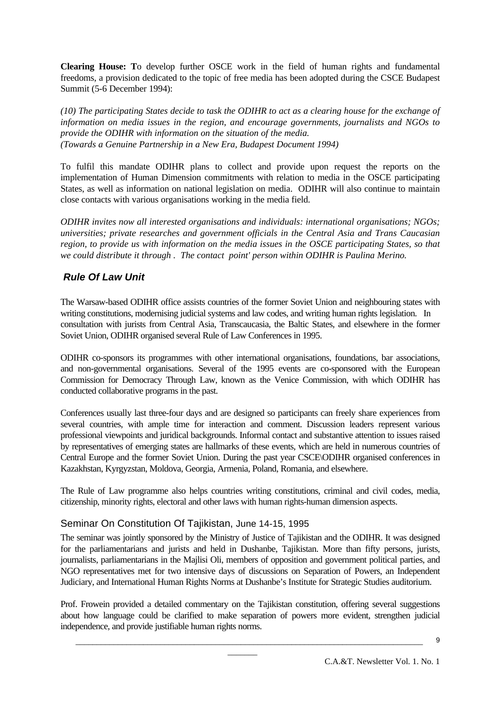**Clearing House: T**o develop further OSCE work in the field of human rights and fundamental freedoms, a provision dedicated to the topic of free media has been adopted during the CSCE Budapest Summit (5-6 December 1994):

*(10) The participating States decide to task the ODIHR to act as a clearing house for the exchange of information on media issues in the region, and encourage governments, journalists and NGOs to provide the ODIHR with information on the situation of the media. (Towards a Genuine Partnership in a New Era, Budapest Document 1994)*

To fulfil this mandate ODIHR plans to collect and provide upon request the reports on the implementation of Human Dimension commitments with relation to media in the OSCE participating States, as well as information on national legislation on media. ODIHR will also continue to maintain close contacts with various organisations working in the media field.

*ODIHR invites now all interested organisations and individuals: international organisations; NGOs; universities; private researches and government officials in the Central Asia and Trans Caucasian region, to provide us with information on the media issues in the OSCE participating States, so that we could distribute it through . The contact point' person within ODIHR is Paulina Merino.*

#### *Rule Of Law Unit*

The Warsaw-based ODIHR office assists countries of the former Soviet Union and neighbouring states with writing constitutions, modernising judicial systems and law codes, and writing human rights legislation. In consultation with jurists from Central Asia, Transcaucasia, the Baltic States, and elsewhere in the former Soviet Union, ODIHR organised several Rule of Law Conferences in 1995.

ODIHR co-sponsors its programmes with other international organisations, foundations, bar associations, and non-governmental organisations. Several of the 1995 events are co-sponsored with the European Commission for Democracy Through Law, known as the Venice Commission, with which ODIHR has conducted collaborative programs in the past.

Conferences usually last three-four days and are designed so participants can freely share experiences from several countries, with ample time for interaction and comment. Discussion leaders represent various professional viewpoints and juridical backgrounds. Informal contact and substantive attention to issues raised by representatives of emerging states are hallmarks of these events, which are held in numerous countries of Central Europe and the former Soviet Union. During the past year CSCE\ODIHR organised conferences in Kazakhstan, Kyrgyzstan, Moldova, Georgia, Armenia, Poland, Romania, and elsewhere.

The Rule of Law programme also helps countries writing constitutions, criminal and civil codes, media, citizenship, minority rights, electoral and other laws with human rights-human dimension aspects.

#### Seminar On Constitution Of Tajikistan, June 14-15, 1995

The seminar was jointly sponsored by the Ministry of Justice of Tajikistan and the ODIHR. It was designed for the parliamentarians and jurists and held in Dushanbe, Tajikistan. More than fifty persons, jurists, journalists, parliamentarians in the Majlisi Oli, members of opposition and government political parties, and NGO representatives met for two intensive days of discussions on Separation of Powers, an Independent Judiciary, and International Human Rights Norms at Dushanbe's Institute for Strategic Studies auditorium.

Prof. Frowein provided a detailed commentary on the Tajikistan constitution, offering several suggestions about how language could be clarified to make separation of powers more evident, strengthen judicial independence, and provide justifiable human rights norms.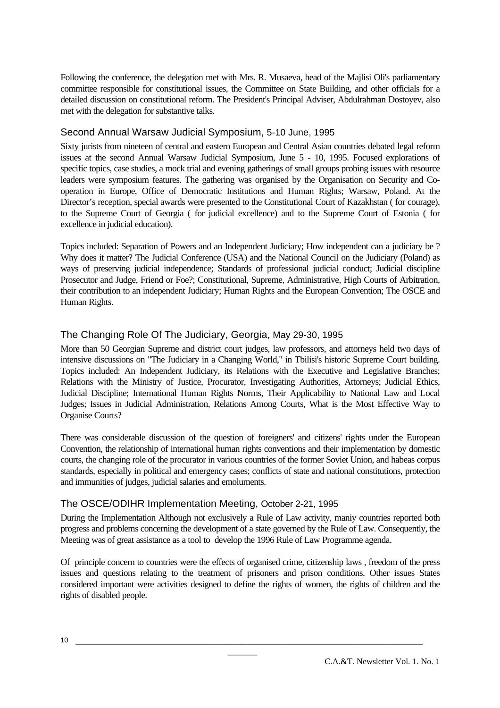Following the conference, the delegation met with Mrs. R. Musaeva, head of the Majlisi Oli's parliamentary committee responsible for constitutional issues, the Committee on State Building, and other officials for a detailed discussion on constitutional reform. The President's Principal Adviser, Abdulrahman Dostoyev, also met with the delegation for substantive talks.

#### Second Annual Warsaw Judicial Symposium, 5-10 June, 1995

Sixty jurists from nineteen of central and eastern European and Central Asian countries debated legal reform issues at the second Annual Warsaw Judicial Symposium, June 5 - 10, 1995. Focused explorations of specific topics, case studies, a mock trial and evening gatherings of small groups probing issues with resource leaders were symposium features. The gathering was organised by the Organisation on Security and Cooperation in Europe, Office of Democratic Institutions and Human Rights; Warsaw, Poland. At the Director's reception, special awards were presented to the Constitutional Court of Kazakhstan ( for courage), to the Supreme Court of Georgia ( for judicial excellence) and to the Supreme Court of Estonia ( for excellence in judicial education).

Topics included: Separation of Powers and an Independent Judiciary; How independent can a judiciary be ? Why does it matter? The Judicial Conference (USA) and the National Council on the Judiciary (Poland) as ways of preserving judicial independence; Standards of professional judicial conduct; Judicial discipline Prosecutor and Judge, Friend or Foe?; Constitutional, Supreme, Administrative, High Courts of Arbitration, their contribution to an independent Judiciary; Human Rights and the European Convention; The OSCE and Human Rights.

# The Changing Role Of The Judiciary, Georgia, May 29-30, 1995

More than 50 Georgian Supreme and district court judges, law professors, and attorneys held two days of intensive discussions on "The Judiciary in a Changing World," in Tbilisi's historic Supreme Court building. Topics included: An Independent Judiciary, its Relations with the Executive and Legislative Branches; Relations with the Ministry of Justice, Procurator, Investigating Authorities, Attorneys; Judicial Ethics, Judicial Discipline; International Human Rights Norms, Their Applicability to National Law and Local Judges; Issues in Judicial Administration, Relations Among Courts, What is the Most Effective Way to Organise Courts?

There was considerable discussion of the question of foreigners' and citizens' rights under the European Convention, the relationship of international human rights conventions and their implementation by domestic courts, the changing role of the procurator in various countries of the former Soviet Union, and habeas corpus standards, especially in political and emergency cases; conflicts of state and national constitutions, protection and immunities of judges, judicial salaries and emoluments.

#### The OSCE/ODIHR Implementation Meeting, October 2-21, 1995

During the Implementation Although not exclusively a Rule of Law activity, maniy countries reported both progress and problems concerning the development of a state governed by the Rule of Law. Consequently, the Meeting was of great assistance as a tool to develop the 1996 Rule of Law Programme agenda.

Of principle concern to countries were the effects of organised crime, citizenship laws , freedom of the press issues and questions relating to the treatment of prisoners and prison conditions. Other issues States considered important were activities designed to define the rights of women, the rights of children and the rights of disabled people.

\_\_\_\_\_\_\_\_\_\_\_\_\_\_\_\_\_\_\_\_\_\_\_\_\_\_\_\_\_\_\_\_\_\_\_\_\_\_\_\_\_\_\_\_\_\_\_\_\_\_\_\_\_\_\_\_\_\_\_\_\_\_\_\_\_\_\_\_\_\_\_\_\_\_\_\_\_\_\_\_\_\_  $\overline{\phantom{a}}$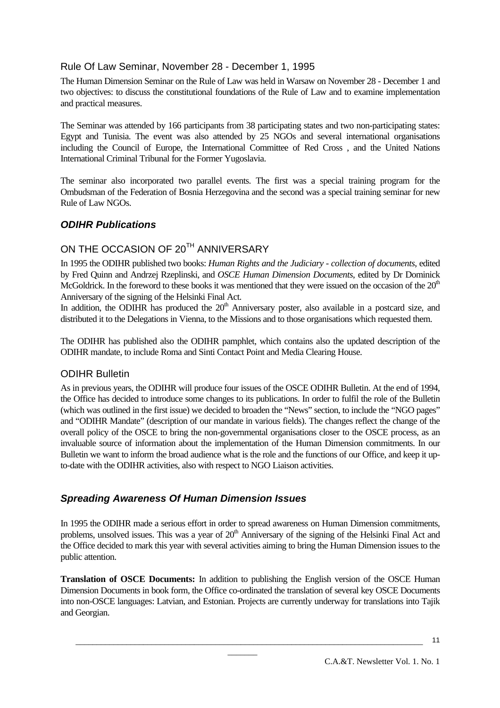#### Rule Of Law Seminar, November 28 - December 1, 1995

The Human Dimension Seminar on the Rule of Law was held in Warsaw on November 28 - December 1 and two objectives: to discuss the constitutional foundations of the Rule of Law and to examine implementation and practical measures.

The Seminar was attended by 166 participants from 38 participating states and two non-participating states: Egypt and Tunisia. The event was also attended by 25 NGOs and several international organisations including the Council of Europe, the International Committee of Red Cross , and the United Nations International Criminal Tribunal for the Former Yugoslavia.

The seminar also incorporated two parallel events. The first was a special training program for the Ombudsman of the Federation of Bosnia Herzegovina and the second was a special training seminar for new Rule of Law NGOs.

#### *ODIHR Publications*

# ON THE OCCASION OF 20<sup>TH</sup> ANNIVERSARY

In 1995 the ODIHR published two books: *Human Rights and the Judiciary - collection of documents*, edited by Fred Quinn and Andrzej Rzeplinski, and *OSCE Human Dimension Documents*, edited by Dr Dominick McGoldrick. In the foreword to these books it was mentioned that they were issued on the occasion of the 20<sup>th</sup> Anniversary of the signing of the Helsinki Final Act.

In addition, the ODIHR has produced the  $20<sup>th</sup>$  Anniversary poster, also available in a postcard size, and distributed it to the Delegations in Vienna, to the Missions and to those organisations which requested them.

The ODIHR has published also the ODIHR pamphlet, which contains also the updated description of the ODIHR mandate, to include Roma and Sinti Contact Point and Media Clearing House.

#### ODIHR Bulletin

As in previous years, the ODIHR will produce four issues of the OSCE ODIHR Bulletin. At the end of 1994, the Office has decided to introduce some changes to its publications. In order to fulfil the role of the Bulletin (which was outlined in the first issue) we decided to broaden the "News" section, to include the "NGO pages" and "ODIHR Mandate" (description of our mandate in various fields). The changes reflect the change of the overall policy of the OSCE to bring the non-governmental organisations closer to the OSCE process, as an invaluable source of information about the implementation of the Human Dimension commitments. In our Bulletin we want to inform the broad audience what is the role and the functions of our Office, and keep it upto-date with the ODIHR activities, also with respect to NGO Liaison activities.

#### *Spreading Awareness Of Human Dimension Issues*

In 1995 the ODIHR made a serious effort in order to spread awareness on Human Dimension commitments, problems, unsolved issues. This was a year of 20<sup>th</sup> Anniversary of the signing of the Helsinki Final Act and the Office decided to mark this year with several activities aiming to bring the Human Dimension issues to the public attention.

**Translation of OSCE Documents:** In addition to publishing the English version of the OSCE Human Dimension Documents in book form, the Office co-ordinated the translation of several key OSCE Documents into non-OSCE languages: Latvian, and Estonian. Projects are currently underway for translations into Tajik and Georgian.